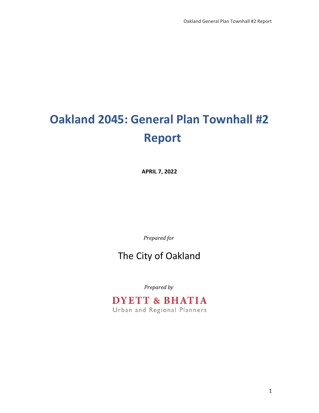# **Oakland 2045: General Plan Townhall #2 Report**

**APRIL 7, 2022**

*Prepared for*

### The City of Oakland

*Prepared by*

# **DYETT & BHATIA**

Urban and Regional Planners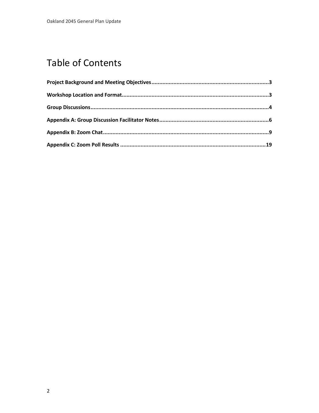## **Table of Contents**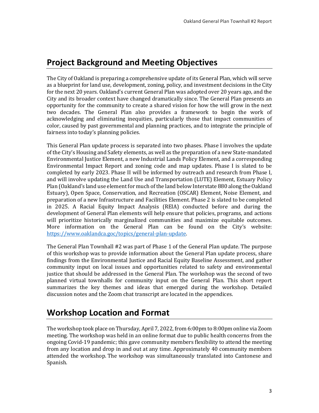### **Project Background and Meeting Objectives**

The City of Oakland is preparing a comprehensive update of its General Plan, which will serve as a blueprint for land use, development, zoning, policy, and investment decisions in the City for the next 20 years. Oakland's current General Plan was adopted over 20 years ago, and the City and its broader context have changed dramatically since. The General Plan presents an opportunity for the community to create a shared vision for how the will grow in the next two decades. The General Plan also provides a framework to begin the work of acknowledging and eliminating inequities, particularly those that impact communities of color, caused by past governmental and planning practices, and to integrate the principle of fairness into today's planning policies.

This General Plan update process is separated into two phases. Phase I involves the update of the City's Housing and Safety elements, as well as the preparation of a new State-mandated Environmental Justice Element, a new Industrial Lands Policy Element, and a corresponding Environmental Impact Report and zoning code and map updates. Phase I is slated to be completed by early 2023. Phase II will be informed by outreach and research from Phase I, and will involve updating the Land Use and Transportation (LUTE) Element, Estuary Policy Plan (Oakland's land use element for much of the land below Interstate 880 along the Oakland Estuary), Open Space, Conservation, and Recreation (OSCAR) Element, Noise Element, and preparation of a new Infrastructure and Facilities Element. Phase 2 is slated to be completed in 2025. A Racial Equity Impact Analysis (REIA) conducted before and during the development of General Plan elements will help ensure that policies, programs, and actions will prioritize historically marginalized communities and maximize equitable outcomes. More information on the General Plan can be found on the City's website: [https://www.oaklandca.goc/topics/general-plan-update.](https://www.oaklandca.goc/topics/general-plan-update)

The General Plan Townhall #2 was part of Phase 1 of the General Plan update. The purpose of this workshop was to provide information about the General Plan update process, share findings from the Environmental Justice and Racial Equity Baseline Assessment, and gather community input on local issues and opportunities related to safety and environmental justice that should be addressed in the General Plan. The workshop was the second of two planned virtual townhalls for community input on the General Plan. This short report summarizes the key themes and ideas that emerged during the workshop. Detailed discussion notes and the Zoom chat transcript are located in the appendices.

### **Workshop Location and Format**

The workshop took place on Thursday, April 7, 2022, from 6:00pm to 8:00pm online via Zoom meeting. The workshop was held in an online format due to public health concerns from the ongoing Covid-19 pandemic; this gave community members flexibility to attend the meeting from any location and drop in and out at any time. Approximately 40 community members attended the workshop. The workshop was simultaneously translated into Cantonese and Spanish.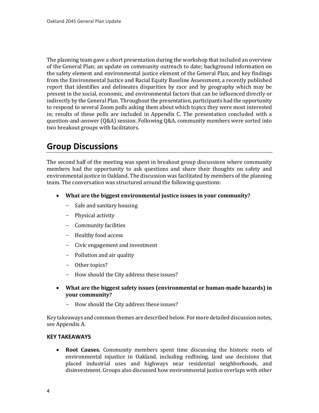The planning team gave a short presentation during the workshop that included an overview of the General Plan; an update on community outreach to date; background information on the safety element and environmental justice element of the General Plan; and key findings from the Environmental Justice and Racial Equity Baseline Assessment, a recently published report that identifies and delineates disparities by race and by geography which may be present in the social, economic, and environmental factors that can be influenced directly or indirectly by the General Plan. Throughout the presentation, participants had the opportunity to respond to several Zoom polls asking them about which topics they were most interested in; results of these polls are included in Appendix C. The presentation concluded with a question-and-answer (Q&A) session. Following Q&A, community members were sorted into two breakout groups with facilitators.

#### **Group Discussions**

The second half of the meeting was spent in breakout group discussions where community members had the opportunity to ask questions and share their thoughts on safety and environmental justice in Oakland. The discussion was facilitated by members of the planning team. The conversation was structured around the following questions:

- **What are the biggest environmental justice issues in your community?** 
	- Safe and sanitary housing
	- Physical activity
	- Community facilities
	- Healthy food access
	- Civic engagement and investment
	- Pollution and air quality
	- Other topics?
	- How should the City address these issues?
- **What are the biggest safety issues (environmental or human-made hazards) in your community?** 
	- How should the City address these issues?

Key takeaways and common themes are described below. For more detailed discussion notes, see Appendix A.

#### **KEY TAKEAWAYS**

• **Root Causes.** Community members spent time discussing the historic roots of environmental injustice in Oakland, including redlining, land use decisions that placed industrial uses and highways near residential neighborhoods, and disinvestment. Groups also discussed how environmental justice overlaps with other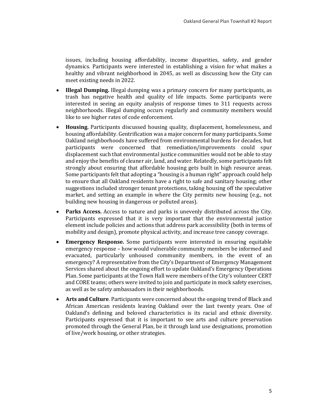issues, including housing affordability, income disparities, safety, and gender dynamics. Participants were interested in establishing a vision for what makes a healthy and vibrant neighborhood in 2045, as well as discussing how the City can meet existing needs in 2022.

- **Illegal Dumping.** Illegal dumping was a primary concern for many participants, as trash has negative health and quality of life impacts. Some participants were interested in seeing an equity analysis of response times to 311 requests across neighborhoods. Illegal dumping occurs regularly and community members would like to see higher rates of code enforcement.
- **Housing.** Participants discussed housing quality, displacement, homelessness, and housing affordability. Gentrification was a major concern for many participants. Some Oakland neighborhoods have suffered from environmental burdens for decades, but participants were concerned that remediation/improvements could spur displacement such that environmental justice communities would not be able to stay and enjoy the benefits of cleaner air, land, and water. Relatedly, some participants felt strongly about ensuring that affordable housing gets built in high resource areas. Some participants felt that adopting a "housing is a human right" approach could help to ensure that all Oakland residents have a right to safe and sanitary housing; other suggestions included stronger tenant protections, taking housing off the speculative market, and setting an example in where the City permits new housing (e.g., not building new housing in dangerous or polluted areas).
- **Parks Access.** Access to nature and parks is unevenly distributed across the City. Participants expressed that it is very important that the environmental justice element include policies and actions that address park accessibility (both in terms of mobility and design), promote physical activity, and increase tree canopy coverage.
- **Emergency Response.** Some participants were interested in ensuring equitable emergency response – how would vulnerable community members be informed and evacuated, particularly unhoused community members, in the event of an emergency? A representative from the City's Department of Emergency Management Services shared about the ongoing effort to update Oakland's Emergency Operations Plan. Some participants at the Town Hall were members of the City's volunteer CERT and CORE teams; others were invited to join and participate in mock safety exercises, as well as be safety ambassadors in their neighborhoods.
- **Arts and Culture**. Participants were concerned about the ongoing trend of Black and African American residents leaving Oakland over the last twenty years. One of Oakland's defining and beloved characteristics is its racial and ethnic diversity. Participants expressed that it is important to see arts and culture preservation promoted through the General Plan, be it through land use designations, promotion of live/work housing, or other strategies.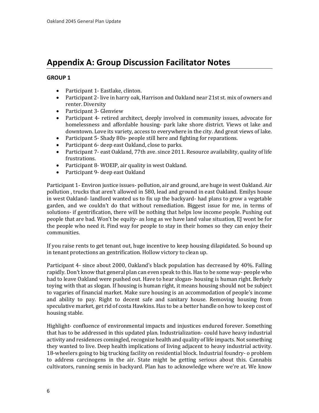### **Appendix A: Group Discussion Facilitator Notes**

#### **GROUP 1**

- Participant 1- Eastlake, clinton.
- Participant 2- live in harry oak, Harrison and Oakland near 21st st. mix of owners and renter. Diversity
- Participant 3- Glenview
- Participant 4- retired architect, deeply involved in community issues, advocate for homelessness and affordable housing- park lake shore district. Views ot lake and downtown. Love its variety, access to everywhere in the city. And great views of lake.
- Participant 5- Shady 80s- people still here and fighting for reparations.
- Participant 6- deep east Oakland, close to parks.
- Participant 7- east Oakland, 77th ave. since 2011. Resource availability, quality of life frustrations.
- Participant 8- WOEIP, air quality in west Oakland.
- Participant 9- deep east Oakland

Participant 1- Environ justice issues- pollution, air and ground, are huge in west Oakland. Air pollution , trucks that aren't allowed in 580, lead and ground in east Oakland. Emilys house in west Oakland- landlord wanted us to fix up the backyard- had plans to grow a vegetable garden, and we couldn't do that without remediation. Biggest issue for me, in terms of solutions- if gentrification, there will be nothing that helps low income people. Pushing out people that are bad. Won't be equity- as long as we have land value situation, EJ wont be for the people who need it. Find way for people to stay in their homes so they can enjoy their communities.

If you raise rents to get tenant out, huge incentive to keep housing dilapidated. So bound up in tenant protections an gentrification. Hollow victory to clean up.

Participant 4- since about 2000, Oakland's black population has decreased by 40%. Falling rapidly. Don't know that general plan can even speak to this. Has to be some way- people who had to leave Oakland were pushed out. Have to hear slogan- housing is human right. Berkely toying with that as slogan. If housing is human right, it means housing should not be subject to vagaries of financial market. Make sure housing is an accommodation of people's income and ability to pay. Right to decent safe and sanitary house. Removing housing from speculative market, get rid of costa Hawkins. Has to be a better handle on how to keep cost of housing stable.

Highlight- confluence of environmental impacts and injustices endured forever. Something that has to be addressed in this updated plan. Industrialization- could have heavy industrial activity and residences comingled, recognize health and quality of life impacts. Not something they wanted to live. Deep health implications of living adjacent to heavy industrial activity. 18-wheelers going to big trucking facility on residential block. Industrial foundry- o problem to address carcinogens in the air. State might be getting serious about this. Cannabis cultivators, running semis in backyard. Plan has to acknowledge where we're at. We know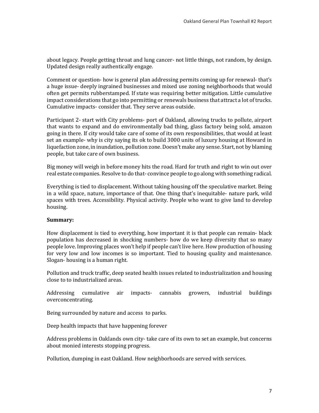about legacy. People getting throat and lung cancer- not little things, not random, by design. Updated design really authentically engage.

Comment or question- how is general plan addressing permits coming up for renewal- that's a huge issue- deeply ingrained businesses and mixed use zoning neighborhoods that would often get permits rubberstamped. If state was requiring better mitigation. Little cumulative impact considerations that go into permitting or renewals business that attract a lot of trucks. Cumulative impacts- consider that. They serve areas outside.

Participant 2- start with City problems- port of Oakland, allowing trucks to pollute, airport that wants to expand and do environmentally bad thing, glass factory being sold, amazon going in there. If city would take care of some of its own responsibilities, that would at least set an example- why is city saying its ok to build 3000 units of luxury housing at Howard in liquefaction zone, in inundation, pollution zone. Doesn't make any sense. Start, not by blaming people, but take care of own business.

Big money will weigh in before money hits the road. Hard for truth and right to win out over real estate companies. Resolve to do that- convince people to go along with something radical.

Everything is tied to displacement. Without taking housing off the speculative market. Being in a wild space, nature, importance of that. One thing that's inequitable- nature park, wild spaces with trees. Accessibility. Physical activity. People who want to give land to develop housing.

#### **Summary:**

How displacement is tied to everything, how important it is that people can remain- black population has decreased in shocking numbers- how do we keep diversity that so many people love. Improving places won't help if people can't live here. How production of housing for very low and low incomes is so important. Tied to housing quality and maintenance. Slogan- housing is a human right.

Pollution and truck traffic, deep seated health issues related to industrialization and housing close to to industrialized areas.

Addressing cumulative air impacts- cannabis growers, industrial buildings overconcentrating.

Being surrounded by nature and access to parks.

Deep health impacts that have happening forever

Address problems in Oaklands own city- take care of its own to set an example, but concerns about monied interests stopping progress.

Pollution, dumping in east Oakland. How neighborhoods are served with services.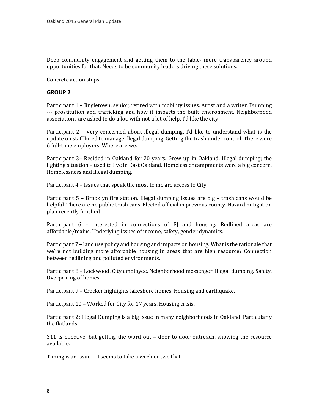Deep community engagement and getting them to the table- more transparency around opportunities for that. Needs to be community leaders driving these solutions.

Concrete action steps

#### **GROUP 2**

Participant 1 – Jingletown, senior, retired with mobility issues. Artist and a writer. Dumping --- prostitution and trafficking and how it impacts the built environment. Neighborhood associations are asked to do a lot, with not a lot of help. I'd like the city

Participant 2 – Very concerned about illegal dumping. I'd like to understand what is the update on staff hired to manage illegal dumping. Getting the trash under control. There were 6 full-time employers. Where are we.

Participant 3– Resided in Oakland for 20 years. Grew up in Oakland. Illegal dumping; the lighting situation – used to live in East Oakland. Homeless encampments were a big concern. Homelessness and illegal dumping.

Participant 4 – Issues that speak the most to me are access to City

Participant 5 – Brooklyn fire station. Illegal dumping issues are big – trash cans would be helpful. There are no public trash cans. Elected official in previous county. Hazard mitigation plan recently finished.

Participant 6 – interested in connections of EJ and housing. Redlined areas are affordable/toxins. Underlying issues of income, safety, gender dynamics.

Participant 7 – land use policy and housing and impacts on housing. What is the rationale that we're not building more affordable housing in areas that are high resource? Connection between redlining and polluted environments.

Participant 8 – Lockwood. City employee. Neighborhood messenger. Illegal dumping. Safety. Overpricing of homes.

Participant 9 – Crocker highlights lakeshore homes. Housing and earthquake.

Participant 10 – Worked for City for 17 years. Housing crisis.

Participant 2: Illegal Dumping is a big issue in many neighborhoods in Oakland. Particularly the flatlands.

311 is effective, but getting the word out – door to door outreach, showing the resource available.

Timing is an issue – it seems to take a week or two that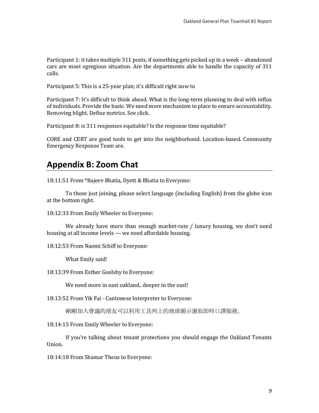Participant 1: it takes multiple 311 posts, if something gets picked up in a week – abandoned cars are most egregious situation. Are the departments able to handle the capacity of 311 calls.

Participant 5: This is a 25-year plan; it's difficult right now to

Participant 7: It's difficult to think ahead. What is the long-term planning to deal with influx of individuals. Provide the basic. We need more mechanism in place to ensure accountability. Removing blight. Define metrics. See click.

Participant 8: is 311 responses equitable? Is the response time equitable?

CORE and CERT are good tools to get into the neighborhood. Location-based. Community Emergency Response Team are.

### **Appendix B: Zoom Chat**

18:11:51 From \*Rajeev Bhatia, Dyett & Bhatia to Everyone:

To those just joining, please select language (including English) from the globe icon at the bottom right.

18:12:33 From Emily Wheeler to Everyone:

We already have more than enough market-rate / luxury housing, we don't need housing at all income levels — we need affordable housing.

18:12:53 From Naomi Schiff to Everyone:

What Emily said!

18:13:39 From Esther Goolsby to Everyone:

We need more in east oakland.. deeper in the east!

18:13:52 From Yik Fai - Cantonese Interpreter to Everyone:

剛剛加入會議的朋友可以利用工具列上的地球圖示選取即時口譯服務。

18:14:15 From Emily Wheeler to Everyone:

If you're talking about tenant protections you should engage the Oakland Tenants Union.

18:14:18 From Shamar Theus to Everyone: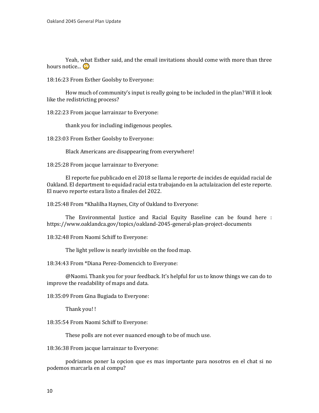Yeah, what Esther said, and the email invitations should come with more than three hours notice...  $\bullet$ 

18:16:23 From Esther Goolsby to Everyone:

How much of community's input is really going to be included in the plan? Will it look like the redistricting process?

18:22:23 From jacque larrainzar to Everyone:

thank you for including indigenous peoples.

18:23:03 From Esther Goolsby to Everyone:

Black Americans are disappearing from everywhere!

18:25:28 From jacque larrainzar to Everyone:

El reporte fue publicado en el 2018 se llama le reporte de incides de equidad racial de Oakland. El department to equidad racial esta trabajando en la actulaizacion del este reporte. El nuevo reporte estara listo a finales del 2022.

18:25:48 From \*Khalilha Haynes, City of Oakland to Everyone:

The Environmental Justice and Racial Equity Baseline can be found here : https://www.oaklandca.gov/topics/oakland-2045-general-plan-project-documents

18:32:48 From Naomi Schiff to Everyone:

The light yellow is nearly invisible on the food map.

18:34:43 From \*Diana Perez-Domencich to Everyone:

@Naomi. Thank you for your feedback. It's helpful for us to know things we can do to improve the readability of maps and data.

18:35:09 From Gina Bugiada to Everyone:

Thank you! !

18:35:54 From Naomi Schiff to Everyone:

These polls are not ever nuanced enough to be of much use.

18:36:38 From jacque larrainzar to Everyone:

podriamos poner la opcion que es mas importante para nosotros en el chat si no podemos marcarla en al compu?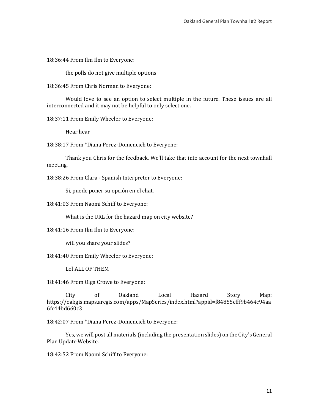18:36:44 From Ilm Ilm to Everyone:

the polls do not give multiple options

18:36:45 From Chris Norman to Everyone:

Would love to see an option to select multiple in the future. These issues are all interconnected and it may not be helpful to only select one.

18:37:11 From Emily Wheeler to Everyone:

Hear hear

18:38:17 From \*Diana Perez-Domencich to Everyone:

Thank you Chris for the feedback. We'll take that into account for the next townhall meeting.

18:38:26 From Clara - Spanish Interpreter to Everyone:

Si, puede poner su opción en el chat.

18:41:03 From Naomi Schiff to Everyone:

What is the URL for the hazard map on city website?

18:41:16 From Ilm Ilm to Everyone:

will you share your slides?

18:41:40 From Emily Wheeler to Everyone:

Lol ALL OF THEM

18:41:46 From Olga Crowe to Everyone:

City of Oakland Local Hazard Story Map: https://oakgis.maps.arcgis.com/apps/MapSeries/index.html?appid=f84855cfff9b464c94aa 6fc44bd660c3

18:42:07 From \*Diana Perez-Domencich to Everyone:

Yes, we will post all materials (including the presentation slides) on the City's General Plan Update Website.

18:42:52 From Naomi Schiff to Everyone: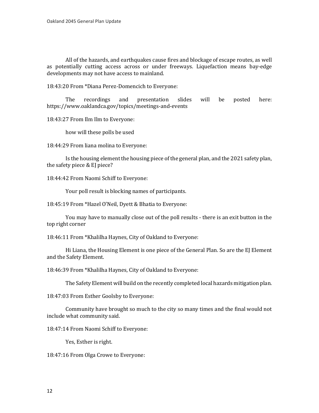All of the hazards, and earthquakes cause fires and blockage of escape routes, as well as potentially cutting access across or under freeways. Liquefaction means bay-edge developments may not have access to mainland.

18:43:20 From \*Diana Perez-Domencich to Everyone:

The recordings and presentation slides will be posted here: https://www.oaklandca.gov/topics/meetings-and-events

18:43:27 From Ilm Ilm to Everyone:

how will these polls be used

18:44:29 From liana molina to Everyone:

Is the housing element the housing piece of the general plan, and the 2021 safety plan, the safety piece & EJ piece?

18:44:42 From Naomi Schiff to Everyone:

Your poll result is blocking names of participants.

18:45:19 From \*Hazel O'Neil, Dyett & Bhatia to Everyone:

You may have to manually close out of the poll results - there is an exit button in the top right corner

18:46:11 From \*Khalilha Haynes, City of Oakland to Everyone:

Hi Liana, the Housing Element is one piece of the General Plan. So are the EJ Element and the Safety Element.

18:46:39 From \*Khalilha Haynes, City of Oakland to Everyone:

The Safety Element will build on the recently completed local hazards mitigation plan.

18:47:03 From Esther Goolsby to Everyone:

Community have brought so much to the city so many times and the final would not include what community said.

18:47:14 From Naomi Schiff to Everyone:

Yes, Esther is right.

18:47:16 From Olga Crowe to Everyone: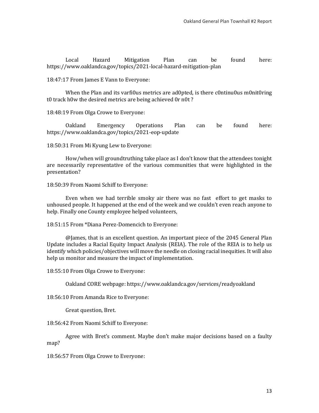Local Hazard Mitigation Plan can be found here: https://www.oaklandca.gov/topics/2021-local-hazard-mitigation-plan

18:47:17 From James E Vann to Everyone:

When the Plan and its varfi0us metrics are ad0pted, is there c0ntinu0us m0nit0ring t0 track h0w the desired metrics are being achieved 0r n0t ?

18:48:19 From Olga Crowe to Everyone:

Oakland Emergency Operations Plan can be found here: https://www.oaklandca.gov/topics/2021-eop-update

18:50:31 From Mi Kyung Lew to Everyone:

How/when will groundtruthing take place as I don't know that the attendees tonight are necessarily representative of the various communities that were highlighted in the presentation?

18:50:39 From Naomi Schiff to Everyone:

Even when we had terrible smoky air there was no fast effort to get masks to unhoused people. It happened at the end of the week and we couldn't even reach anyone to help. Finally one County employee helped volunteers,

18:51:15 From \*Diana Perez-Domencich to Everyone:

@James, that is an excellent question. An important piece of the 2045 General Plan Update includes a Racial Equity Impact Analysis (REIA). The role of the REIA is to help us identify which policies/objectives will move the needle on closing racial inequities. It will also help us monitor and measure the impact of implementation.

18:55:10 From Olga Crowe to Everyone:

Oakland CORE webpage: https://www.oaklandca.gov/services/readyoakland

18:56:10 From Amanda Rice to Everyone:

Great question, Bret.

18:56:42 From Naomi Schiff to Everyone:

Agree with Bret's comment. Maybe don't make major decisions based on a faulty map?

18:56:57 From Olga Crowe to Everyone: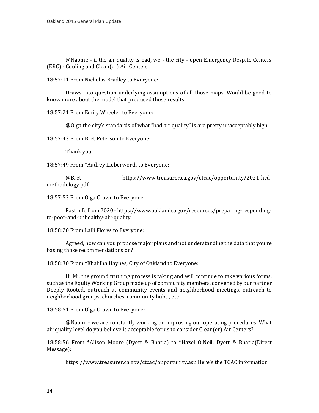@Naomi: - if the air quality is bad, we - the city - open Emergency Respite Centers (ERC) - Cooling and Clean(er) Air Centers

18:57:11 From Nicholas Bradley to Everyone:

Draws into question underlying assumptions of all those maps. Would be good to know more about the model that produced those results.

18:57:21 From Emily Wheeler to Everyone:

@Olga the city's standards of what "bad air quality" is are pretty unacceptably high

18:57:43 From Bret Peterson to Everyone:

Thank you

18:57:49 From \*Audrey Lieberworth to Everyone:

@Bret - https://www.treasurer.ca.gov/ctcac/opportunity/2021-hcdmethodology.pdf

18:57:53 From Olga Crowe to Everyone:

Past info from 2020 - https://www.oaklandca.gov/resources/preparing-respondingto-poor-and-unhealthy-air-quality

18:58:20 From Lalli Flores to Everyone:

Agreed, how can you propose major plans and not understanding the data that you're basing those recommendations on?

18:58:30 From \*Khalilha Haynes, City of Oakland to Everyone:

Hi Mi, the ground truthing process is taking and will continue to take various forms, such as the Equity Working Group made up of community members, convened by our partner Deeply Rooted, outreach at community events and neighborhood meetings, outreach to neighborhood groups, churches, community hubs , etc.

18:58:51 From Olga Crowe to Everyone:

@Naomi - we are constantly working on improving our operating procedures. What air quality level do you believe is acceptable for us to consider Clean(er) Air Centers?

18:58:56 From \*Alison Moore (Dyett & Bhatia) to \*Hazel O'Neil, Dyett & Bhatia(Direct Message):

https://www.treasurer.ca.gov/ctcac/opportunity.asp Here's the TCAC information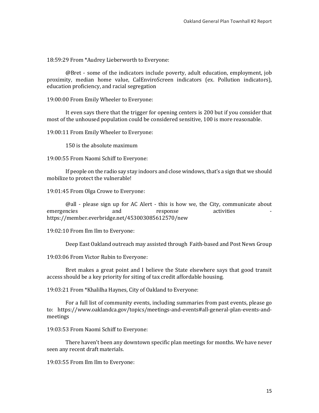18:59:29 From \*Audrey Lieberworth to Everyone:

@Bret - some of the indicators include poverty, adult education, employment, job proximity, median home value, CalEnviroScreen indicators (ex. Pollution indicators), education proficiency, and racial segregation

19:00:00 From Emily Wheeler to Everyone:

It even says there that the trigger for opening centers is 200 but if you consider that most of the unhoused population could be considered sensitive, 100 is more reasonable.

19:00:11 From Emily Wheeler to Everyone:

150 is the absolute maximum

19:00:55 From Naomi Schiff to Everyone:

If people on the radio say stay indoors and close windows, that's a sign that we should mobilize to protect the vulnerable!

19:01:45 From Olga Crowe to Everyone:

@all - please sign up for AC Alert - this is how we, the City, communicate about emergencies and response activities emergencies and response activities https://member.everbridge.net/453003085612570/new

19:02:10 From Ilm Ilm to Everyone:

Deep East Oakland outreach may assisted through Faith-based and Post News Group

19:03:06 From Victor Rubin to Everyone:

Bret makes a great point and I believe the State elsewhere says that good transit access should be a key priority for siting of tax credit affordable housing.

19:03:21 From \*Khalilha Haynes, City of Oakland to Everyone:

For a full list of community events, including summaries from past events, please go to: https://www.oaklandca.gov/topics/meetings-and-events#all-general-plan-events-andmeetings

19:03:53 From Naomi Schiff to Everyone:

There haven't been any downtown specific plan meetings for months. We have never seen any recent draft materials.

19:03:55 From Ilm Ilm to Everyone: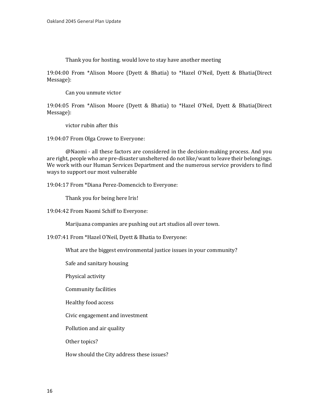Thank you for hosting. would love to stay have another meeting

19:04:00 From \*Alison Moore (Dyett & Bhatia) to \*Hazel O'Neil, Dyett & Bhatia(Direct Message):

Can you unmute victor

19:04:05 From \*Alison Moore (Dyett & Bhatia) to \*Hazel O'Neil, Dyett & Bhatia(Direct Message):

victor rubin after this

19:04:07 From Olga Crowe to Everyone:

@Naomi - all these factors are considered in the decision-making process. And you are right, people who are pre-disaster unsheltered do not like/want to leave their belongings. We work with our Human Services Department and the numerous service providers to find ways to support our most vulnerable

19:04:17 From \*Diana Perez-Domencich to Everyone:

Thank you for being here Iris!

19:04:42 From Naomi Schiff to Everyone:

Marijuana companies are pushing out art studios all over town.

19:07:41 From \*Hazel O'Neil, Dyett & Bhatia to Everyone:

What are the biggest environmental justice issues in your community?

Safe and sanitary housing

Physical activity

Community facilities

Healthy food access

Civic engagement and investment

Pollution and air quality

Other topics?

How should the City address these issues?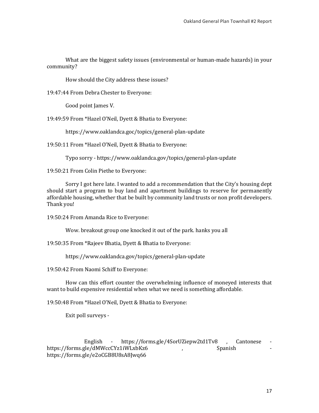What are the biggest safety issues (environmental or human-made hazards) in your community?

How should the City address these issues?

19:47:44 From Debra Chester to Everyone:

Good point James V.

19:49:59 From \*Hazel O'Neil, Dyett & Bhatia to Everyone:

https://www.oaklandca.goc/topics/general-plan-update

19:50:11 From \*Hazel O'Neil, Dyett & Bhatia to Everyone:

Typo sorry - https://www.oaklandca.gov/topics/general-plan-update

19:50:21 From Colin Piethe to Everyone:

Sorry I got here late. I wanted to add a recommendation that the City's housing dept should start a program to buy land and apartment buildings to reserve for permanently affordable housing, whether that be built by community land trusts or non profit developers. Thank you!

19:50:24 From Amanda Rice to Everyone:

Wow. breakout group one knocked it out of the park. hanks you all

19:50:35 From \*Rajeev Bhatia, Dyett & Bhatia to Everyone:

https://www.oaklandca.gov/topics/general-plan-update

19:50:42 From Naomi Schiff to Everyone:

How can this effort counter the overwhelming influence of moneyed interests that want to build expensive residential when what we need is something affordable.

19:50:48 From \*Hazel O'Neil, Dyett & Bhatia to Everyone:

Exit poll surveys -

English - https://forms.gle/4SorUZiepw2td1Tv8 , Cantonese - de/dMWccCYz1iWLxbKz6 https://forms.gle/dMWccCYz1iWLxbKz6 https://forms.gle/e2oCGB8U8sA8Jwq66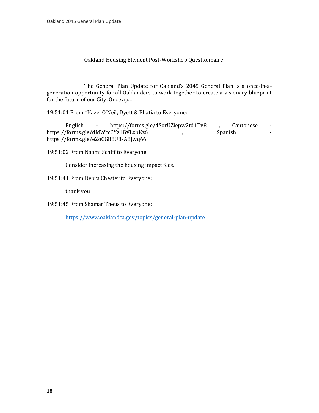#### Oakland Housing Element Post-Workshop Questionnaire

 The General Plan Update for Oakland's 2045 General Plan is a once-in-ageneration opportunity for all Oaklanders to work together to create a visionary blueprint for the future of our City. Once ap...

19:51:01 From \*Hazel O'Neil, Dyett & Bhatia to Everyone:

English - https://forms.gle/4SorUZiepw2td1Tv8 , Cantonese -<br>- /forms.gle/dMWccCYz1iWLxbKz6 , Spanish https://forms.gle/dMWccCYz1iWLxbKz6 , https://forms.gle/e2oCGB8U8sA8Jwq66

19:51:02 From Naomi Schiff to Everyone:

Consider increasing the housing impact fees.

19:51:41 From Debra Chester to Everyone:

thank you

19:51:45 From Shamar Theus to Everyone:

<https://www.oaklandca.gov/topics/general-plan-update>